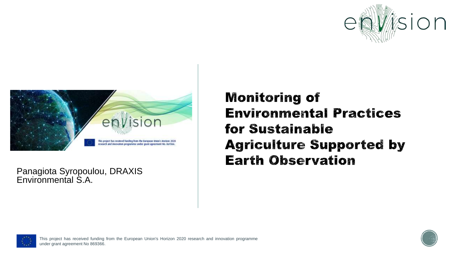



Panagiota Syropoulou, DRAXIS Environmental S.A.

#### **Monitoring of Environmental Practices** for Sustainable **Agriculture Supported by Earth Observation**



This project has received funding from the European Union's Horizon 2020 research and innovation programme under grant agreement No 869366.

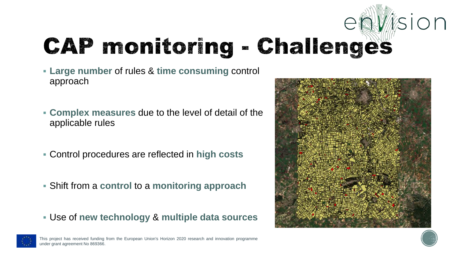## entision **CAP monitoring - Challenges**

- **Large number** of rules & **time consuming** control approach
- **Complex measures** due to the level of detail of the applicable rules
- Control procedures are reflected in **high costs**
- Shift from a **control** to a **monitoring approach**
- Use of **new technology** & **multiple data sources**



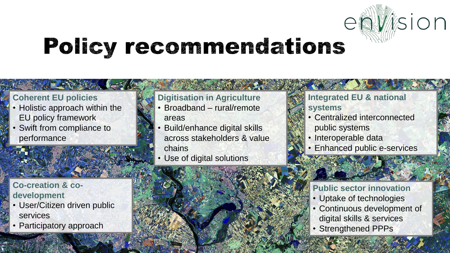

### **Policy recommendations**

#### **Coherent EU policies**

- Holistic approach within the EU policy framework
- Swift from compliance to performance

#### **Digitisation in Agriculture**

- Broadband rural/remote areas
- Build/enhance digital skills across stakeholders & value chains
- Use of digital solutions

This project has received funding funding funding funding funding funding  $\mathcal{L}$ 

#### **Integrated EU & national systems**

- Centralized interconnected public systems
- Interoperable data
- Enhanced public e-services

#### **Public sector innovation**

- Uptake of technologies
- Continuous development of digital skills & services
- Strengthened PPPs

#### **Co-creation & codevelopment**

• User/Citizen driven public services

under grant agreement no 869366.

• Participatory approach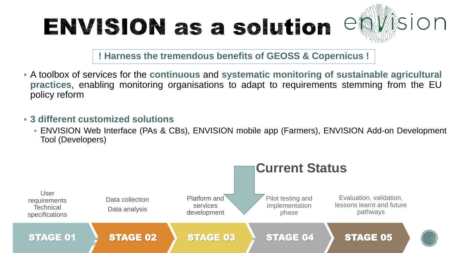### ENVISION as a solution



**! Harness the tremendous benefits of GEOSS & Copernicus !**

- A toolbox of services for the **continuous** and **systematic monitoring of sustainable agricultural practices**, enabling monitoring organisations to adapt to requirements stemming from the EU policy reform
- **3 different customized solutions**
	- **ENVISION Web Interface (PAs & CBs), ENVISION mobile app (Farmers), ENVISION Add-on Development** Tool (Developers)

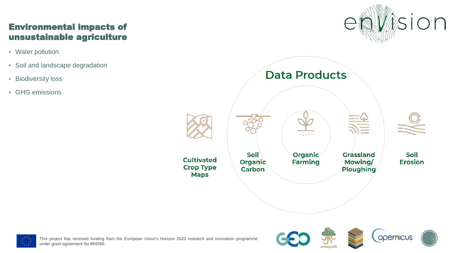#### Environmental impacts of unsustainable agriculture

- Water pollution
- Soil and landscape degradation
- **E** Biodiversity loss
- GHG emissions







This project has received funding from the European Union's Horizon 2020 research and innovation programme under grant agreement No 869366.

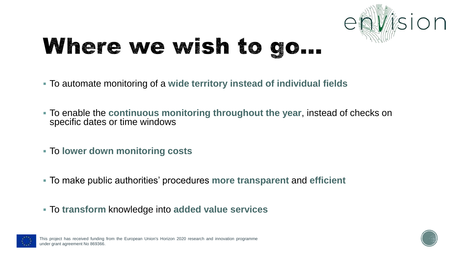

### Where we wish to go...

- To automate monitoring of a **wide territory instead of individual fields**
- To enable the **continuous monitoring throughout the year**, instead of checks on specific dates or time windows
- To **lower down monitoring costs**
- To make public authorities' procedures **more transparent** and **efficient**
- To **transform** knowledge into **added value services**



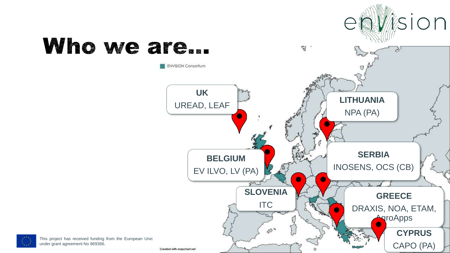

### Who we are...

This project has received funding from the European Unio under grant agreement No 869366.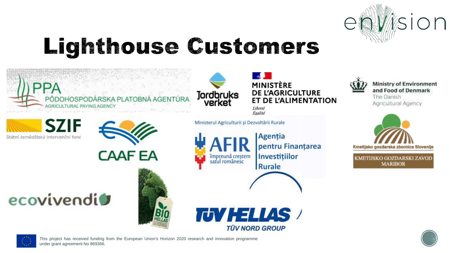

### **Lighthouse Gustomers**







Liberté Égalité

Ministerul Agriculturii și Dezvoltării Rurale

Agenția **AFIR** pentru Finantarea împreună creștem<br>satul românesc Investitiilor Rurale



**Ministry of Environment** and Food of Denmark The Danish Agricultural Agency



KMETIJSKO GOZDARSKI ZAVOD **MARIBOR** 



Státní zemědělský intervenční fond

ecovivendio

This project has received funding from the European Union's Horizon 2020 research and innovation programme under grant agreement No 869366.

**CAAFEA**